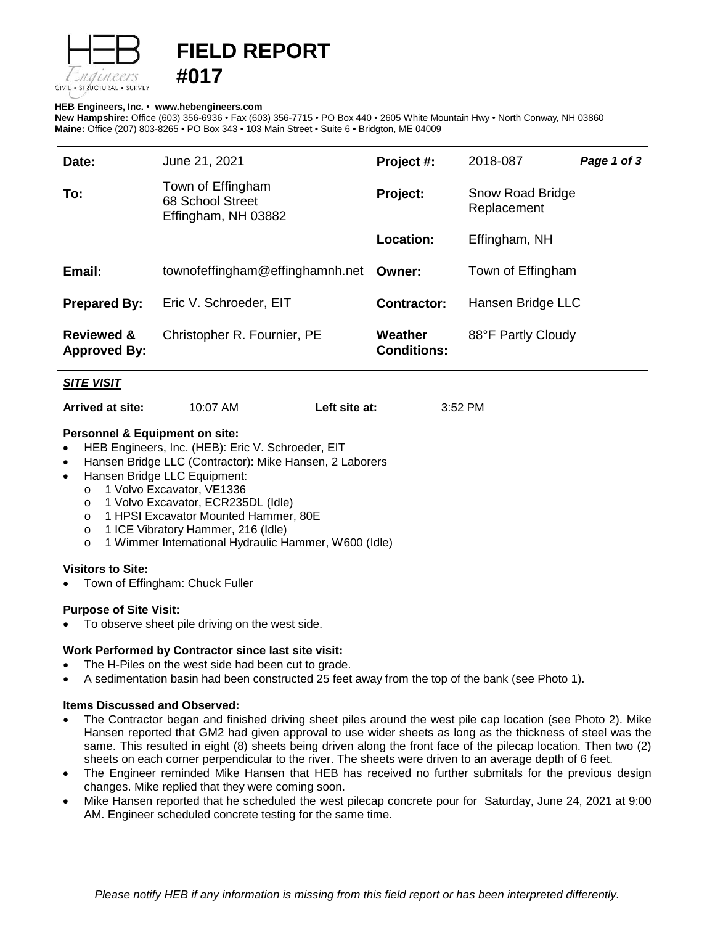

# **FIELD REPORT**

#### **HEB Engineers, Inc.** • **[www.hebengineer](http://www.hebengineers.com/)s.com**

**#017**

**New Hampshire:** Office (603) 356-6936 • Fax (603) 356-7715 • PO Box 440 • 2605 White Mountain Hwy • North Conway, NH 03860 **Maine:** Office (207) 803-8265 • PO Box 343 • 103 Main Street • Suite 6 • Bridgton, ME 04009

| Date:                                        | June 21, 2021                                                | Project #:                    | 2018-087                        | Page 1 of 3 |
|----------------------------------------------|--------------------------------------------------------------|-------------------------------|---------------------------------|-------------|
| To:                                          | Town of Effingham<br>68 School Street<br>Effingham, NH 03882 | Project:                      | Snow Road Bridge<br>Replacement |             |
|                                              |                                                              | Location:                     | Effingham, NH                   |             |
| Email:                                       | townofeffingham@effinghamnh.net                              | Owner:                        | Town of Effingham               |             |
| <b>Prepared By:</b>                          | Eric V. Schroeder, EIT                                       | <b>Contractor:</b>            | Hansen Bridge LLC               |             |
| <b>Reviewed &amp;</b><br><b>Approved By:</b> | Christopher R. Fournier, PE                                  | Weather<br><b>Conditions:</b> | 88°F Partly Cloudy              |             |

## *SITE VISIT*

**Arrived at site:** 10:07 AM **Left site at:** 3:52 PM

# **Personnel & Equipment on site:**

- HEB Engineers, Inc. (HEB): Eric V. Schroeder, EIT
- Hansen Bridge LLC (Contractor): Mike Hansen, 2 Laborers
- Hansen Bridge LLC Equipment:
	- o 1 Volvo Excavator, VE1336
	- o 1 Volvo Excavator, ECR235DL (Idle)
	- o 1 HPSI Excavator Mounted Hammer, 80E
	- o 1 ICE Vibratory Hammer, 216 (Idle)
	- o 1 Wimmer International Hydraulic Hammer, W600 (Idle)

## **Visitors to Site:**

• Town of Effingham: Chuck Fuller

## **Purpose of Site Visit:**

To observe sheet pile driving on the west side.

## **Work Performed by Contractor since last site visit:**

- The H-Piles on the west side had been cut to grade.
- A sedimentation basin had been constructed 25 feet away from the top of the bank (see Photo 1).

#### **Items Discussed and Observed:**

- The Contractor began and finished driving sheet piles around the west pile cap location (see Photo 2). Mike Hansen reported that GM2 had given approval to use wider sheets as long as the thickness of steel was the same. This resulted in eight (8) sheets being driven along the front face of the pilecap location. Then two (2) sheets on each corner perpendicular to the river. The sheets were driven to an average depth of 6 feet.
- The Engineer reminded Mike Hansen that HEB has received no further submitals for the previous design changes. Mike replied that they were coming soon.
- Mike Hansen reported that he scheduled the west pilecap concrete pour for Saturday, June 24, 2021 at 9:00 AM. Engineer scheduled concrete testing for the same time.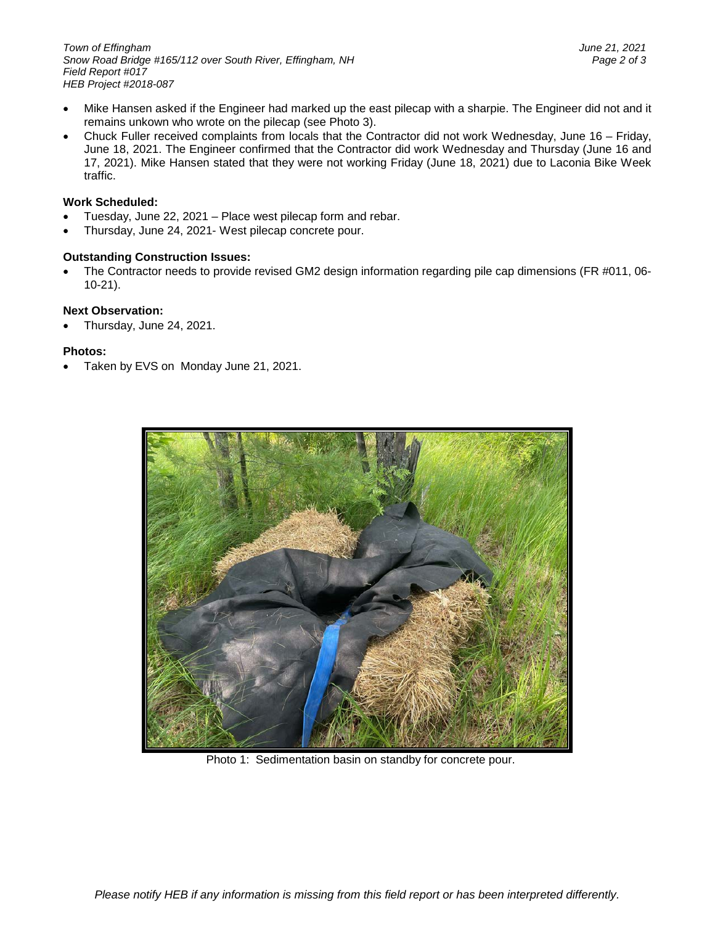- Mike Hansen asked if the Engineer had marked up the east pilecap with a sharpie. The Engineer did not and it remains unkown who wrote on the pilecap (see Photo 3).
- Chuck Fuller received complaints from locals that the Contractor did not work Wednesday, June 16 Friday, June 18, 2021. The Engineer confirmed that the Contractor did work Wednesday and Thursday (June 16 and 17, 2021). Mike Hansen stated that they were not working Friday (June 18, 2021) due to Laconia Bike Week traffic.

# **Work Scheduled:**

- Tuesday, June 22, 2021 Place west pilecap form and rebar.
- Thursday, June 24, 2021- West pilecap concrete pour.

# **Outstanding Construction Issues:**

• The Contractor needs to provide revised GM2 design information regarding pile cap dimensions (FR #011, 06- 10-21).

# **Next Observation:**

• Thursday, June 24, 2021.

## **Photos:**

• Taken by EVS on Monday June 21, 2021.



Photo 1: Sedimentation basin on standby for concrete pour.